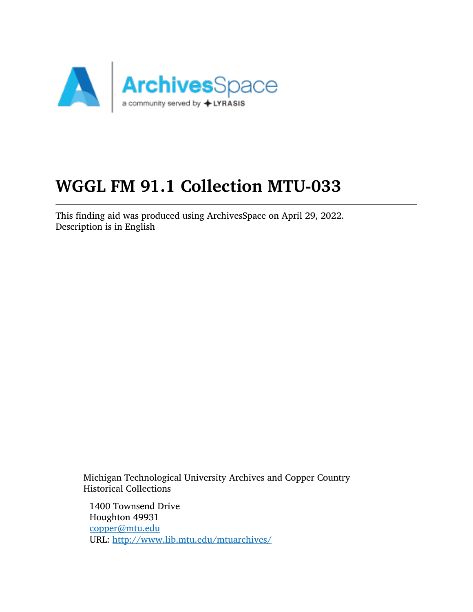

# WGGL FM 91.1 Collection MTU-033

This finding aid was produced using ArchivesSpace on April 29, 2022. Description is in English

Michigan Technological University Archives and Copper Country Historical Collections

1400 Townsend Drive Houghton 49931 [copper@mtu.edu](mailto:copper@mtu.edu) URL: <http://www.lib.mtu.edu/mtuarchives/>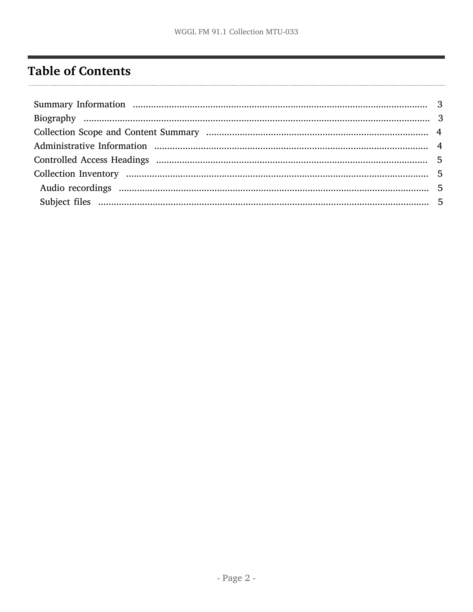# <span id="page-1-0"></span>**Table of Contents**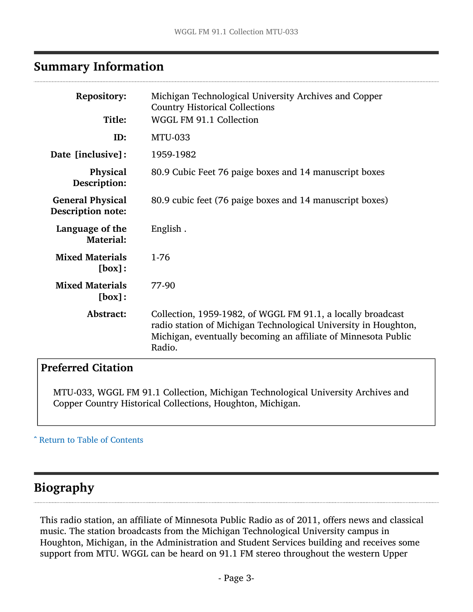## <span id="page-2-0"></span>Summary Information

| Michigan Technological University Archives and Copper<br><b>Country Historical Collections</b><br>WGGL FM 91.1 Collection                                                                                  |
|------------------------------------------------------------------------------------------------------------------------------------------------------------------------------------------------------------|
| <b>MTU-033</b>                                                                                                                                                                                             |
| 1959-1982                                                                                                                                                                                                  |
| 80.9 Cubic Feet 76 paige boxes and 14 manuscript boxes                                                                                                                                                     |
| 80.9 cubic feet (76 paige boxes and 14 manuscript boxes)                                                                                                                                                   |
| English.                                                                                                                                                                                                   |
| 1-76                                                                                                                                                                                                       |
| 77-90                                                                                                                                                                                                      |
| Collection, 1959-1982, of WGGL FM 91.1, a locally broadcast<br>radio station of Michigan Technological University in Houghton,<br>Michigan, eventually becoming an affiliate of Minnesota Public<br>Radio. |
|                                                                                                                                                                                                            |

## Preferred Citation

MTU-033, WGGL FM 91.1 Collection, Michigan Technological University Archives and Copper Country Historical Collections, Houghton, Michigan.

#### ^ [Return to Table of Contents](#page-1-0)

## <span id="page-2-1"></span>Biography

This radio station, an affiliate of Minnesota Public Radio as of 2011, offers news and classical music. The station broadcasts from the Michigan Technological University campus in Houghton, Michigan, in the Administration and Student Services building and receives some support from MTU. WGGL can be heard on 91.1 FM stereo throughout the western Upper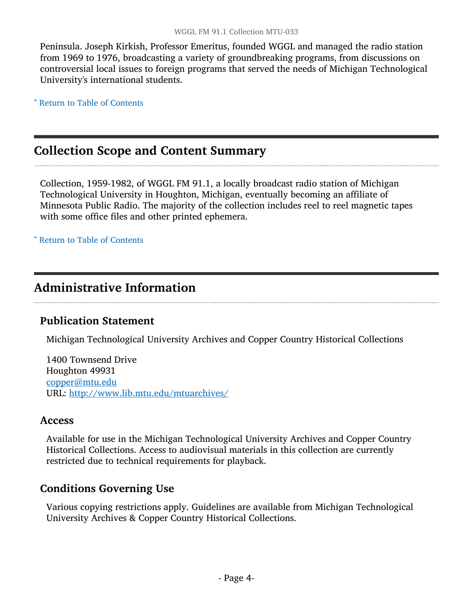Peninsula. Joseph Kirkish, Professor Emeritus, founded WGGL and managed the radio station from 1969 to 1976, broadcasting a variety of groundbreaking programs, from discussions on controversial local issues to foreign programs that served the needs of Michigan Technological University's international students.

^ [Return to Table of Contents](#page-1-0)

## <span id="page-3-0"></span>Collection Scope and Content Summary

Collection, 1959-1982, of WGGL FM 91.1, a locally broadcast radio station of Michigan Technological University in Houghton, Michigan, eventually becoming an affiliate of Minnesota Public Radio. The majority of the collection includes reel to reel magnetic tapes with some office files and other printed ephemera.

^ [Return to Table of Contents](#page-1-0)

## <span id="page-3-1"></span>Administrative Information

### Publication Statement

Michigan Technological University Archives and Copper Country Historical Collections

1400 Townsend Drive Houghton 49931 [copper@mtu.edu](mailto:copper@mtu.edu) URL: <http://www.lib.mtu.edu/mtuarchives/>

#### Access

Available for use in the Michigan Technological University Archives and Copper Country Historical Collections. Access to audiovisual materials in this collection are currently restricted due to technical requirements for playback.

### Conditions Governing Use

Various copying restrictions apply. Guidelines are available from Michigan Technological University Archives & Copper Country Historical Collections.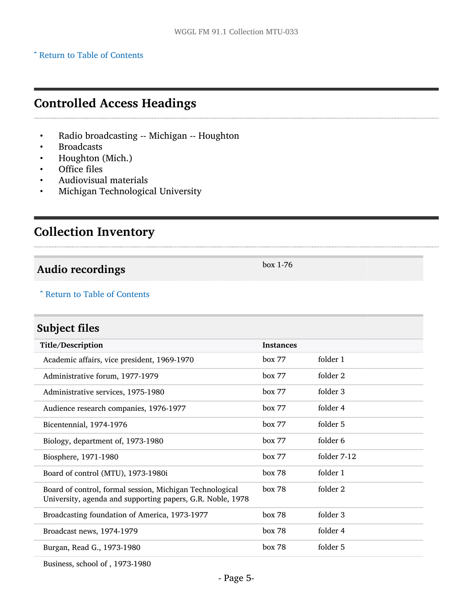#### ^ [Return to Table of Contents](#page-1-0)

## <span id="page-4-0"></span>Controlled Access Headings

- Radio broadcasting -- Michigan -- Houghton
- **Broadcasts**
- Houghton (Mich.)
- Office files
- Audiovisual materials
- Michigan Technological University

## <span id="page-4-1"></span>Collection Inventory

## <span id="page-4-2"></span>Audio recordings box 1-76

^ [Return to Table of Contents](#page-1-0)

## <span id="page-4-3"></span>Subject files

| Title/Description                                                                                                      | <b>Instances</b> |             |
|------------------------------------------------------------------------------------------------------------------------|------------------|-------------|
| Academic affairs, vice president, 1969-1970                                                                            | box 77           | folder 1    |
| Administrative forum, 1977-1979                                                                                        | box 77           | folder 2    |
| Administrative services, 1975-1980                                                                                     | box 77           | folder 3    |
| Audience research companies, 1976-1977                                                                                 | box 77           | folder 4    |
| Bicentennial, 1974-1976                                                                                                | box 77           | folder 5    |
| Biology, department of, 1973-1980                                                                                      | box 77           | folder 6    |
| Biosphere, 1971-1980                                                                                                   | box 77           | folder 7-12 |
| Board of control (MTU), 1973-1980i                                                                                     | box 78           | folder 1    |
| Board of control, formal session, Michigan Technological<br>University, agenda and supporting papers, G.R. Noble, 1978 | box 78           | folder 2    |
| Broadcasting foundation of America, 1973-1977                                                                          | box 78           | folder 3    |
| Broadcast news, 1974-1979                                                                                              | box 78           | folder 4    |
| Burgan, Read G., 1973-1980                                                                                             | box 78           | folder 5    |
|                                                                                                                        |                  |             |

Business, school of , 1973-1980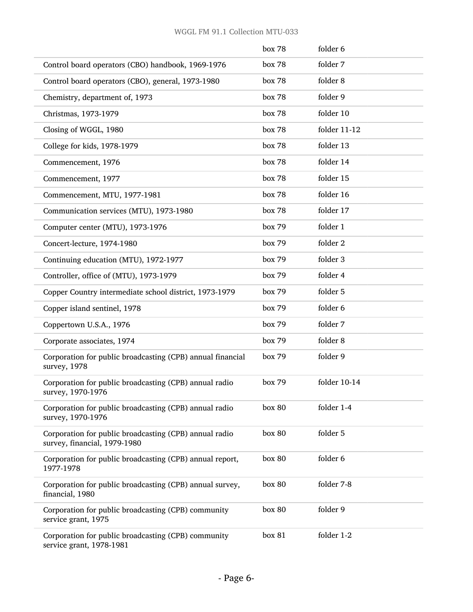|                                                                                        | box 78 | folder 6     |
|----------------------------------------------------------------------------------------|--------|--------------|
| Control board operators (CBO) handbook, 1969-1976                                      | box 78 | folder 7     |
| Control board operators (CBO), general, 1973-1980                                      | box 78 | folder 8     |
| Chemistry, department of, 1973                                                         | box 78 | folder 9     |
| Christmas, 1973-1979                                                                   | box 78 | folder 10    |
| Closing of WGGL, 1980                                                                  | box 78 | folder 11-12 |
| College for kids, 1978-1979                                                            | box 78 | folder 13    |
| Commencement, 1976                                                                     | box 78 | folder 14    |
| Commencement, 1977                                                                     | box 78 | folder 15    |
| Commencement, MTU, 1977-1981                                                           | box 78 | folder 16    |
| Communication services (MTU), 1973-1980                                                | box 78 | folder 17    |
| Computer center (MTU), 1973-1976                                                       | box 79 | folder 1     |
| Concert-lecture, 1974-1980                                                             | box 79 | folder 2     |
| Continuing education (MTU), 1972-1977                                                  | box 79 | folder 3     |
| Controller, office of (MTU), 1973-1979                                                 | box 79 | folder 4     |
| Copper Country intermediate school district, 1973-1979                                 | box 79 | folder 5     |
| Copper island sentinel, 1978                                                           | box 79 | folder 6     |
| Coppertown U.S.A., 1976                                                                | box 79 | folder 7     |
| Corporate associates, 1974                                                             | box 79 | folder 8     |
| Corporation for public broadcasting (CPB) annual financial<br>survey, 1978             | box 79 | folder 9     |
| Corporation for public broadcasting (CPB) annual radio<br>survey, 1970-1976            | box 79 | folder 10-14 |
| Corporation for public broadcasting (CPB) annual radio<br>survey, 1970-1976            | box 80 | folder 1-4   |
| Corporation for public broadcasting (CPB) annual radio<br>survey, financial, 1979-1980 | box 80 | folder 5     |
| Corporation for public broadcasting (CPB) annual report,<br>1977-1978                  | box 80 | folder 6     |
| Corporation for public broadcasting (CPB) annual survey,<br>financial, 1980            | box 80 | folder 7-8   |
| Corporation for public broadcasting (CPB) community<br>service grant, 1975             | box 80 | folder 9     |
| Corporation for public broadcasting (CPB) community<br>service grant, 1978-1981        | box 81 | folder 1-2   |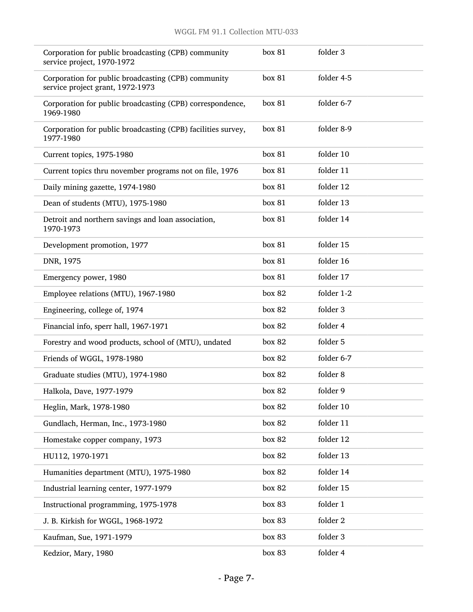| Corporation for public broadcasting (CPB) community<br>service project, 1970-1972       | box 81 | folder 3   |
|-----------------------------------------------------------------------------------------|--------|------------|
| Corporation for public broadcasting (CPB) community<br>service project grant, 1972-1973 | box 81 | folder 4-5 |
| Corporation for public broadcasting (CPB) correspondence,<br>1969-1980                  | box 81 | folder 6-7 |
| Corporation for public broadcasting (CPB) facilities survey,<br>1977-1980               | box 81 | folder 8-9 |
| Current topics, 1975-1980                                                               | box 81 | folder 10  |
| Current topics thru november programs not on file, 1976                                 | box 81 | folder 11  |
| Daily mining gazette, 1974-1980                                                         | box 81 | folder 12  |
| Dean of students (MTU), 1975-1980                                                       | box 81 | folder 13  |
| Detroit and northern savings and loan association,<br>1970-1973                         | box 81 | folder 14  |
| Development promotion, 1977                                                             | box 81 | folder 15  |
| DNR, 1975                                                                               | box 81 | folder 16  |
| Emergency power, 1980                                                                   | box 81 | folder 17  |
| Employee relations (MTU), 1967-1980                                                     | box 82 | folder 1-2 |
| Engineering, college of, 1974                                                           | box 82 | folder 3   |
| Financial info, sperr hall, 1967-1971                                                   | box 82 | folder 4   |
| Forestry and wood products, school of (MTU), undated                                    | box 82 | folder 5   |
| Friends of WGGL, 1978-1980                                                              | box 82 | folder 6-7 |
| Graduate studies (MTU), 1974-1980                                                       | box 82 | folder 8   |
| Halkola, Dave, 1977-1979                                                                | box 82 | folder 9   |
| Heglin, Mark, 1978-1980                                                                 | box 82 | folder 10  |
| Gundlach, Herman, Inc., 1973-1980                                                       | box 82 | folder 11  |
| Homestake copper company, 1973                                                          | box 82 | folder 12  |
| HU112, 1970-1971                                                                        | box 82 | folder 13  |
| Humanities department (MTU), 1975-1980                                                  | box 82 | folder 14  |
| Industrial learning center, 1977-1979                                                   | box 82 | folder 15  |
| Instructional programming, 1975-1978                                                    | box 83 | folder 1   |
| J. B. Kirkish for WGGL, 1968-1972                                                       | box 83 | folder 2   |
| Kaufman, Sue, 1971-1979                                                                 | box 83 | folder 3   |
| Kedzior, Mary, 1980                                                                     | box 83 | folder 4   |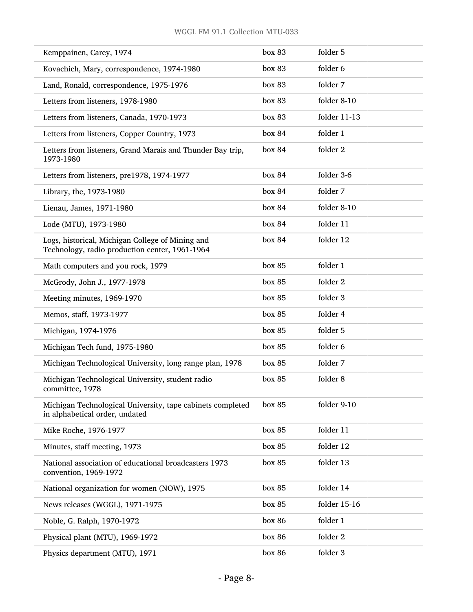| Kemppainen, Carey, 1974                                                                            | box 83 | folder 5     |
|----------------------------------------------------------------------------------------------------|--------|--------------|
| Kovachich, Mary, correspondence, 1974-1980                                                         | box 83 | folder 6     |
| Land, Ronald, correspondence, 1975-1976                                                            | box 83 | folder 7     |
| Letters from listeners, 1978-1980                                                                  | box 83 | folder 8-10  |
| Letters from listeners, Canada, 1970-1973                                                          | box 83 | folder 11-13 |
| Letters from listeners, Copper Country, 1973                                                       | box 84 | folder 1     |
| Letters from listeners, Grand Marais and Thunder Bay trip,<br>1973-1980                            | box 84 | folder 2     |
| Letters from listeners, pre1978, 1974-1977                                                         | box 84 | folder 3-6   |
| Library, the, 1973-1980                                                                            | box 84 | folder 7     |
| Lienau, James, 1971-1980                                                                           | box 84 | folder 8-10  |
| Lode (MTU), 1973-1980                                                                              | box 84 | folder 11    |
| Logs, historical, Michigan College of Mining and<br>Technology, radio production center, 1961-1964 | box 84 | folder 12    |
| Math computers and you rock, 1979                                                                  | box 85 | folder 1     |
| McGrody, John J., 1977-1978                                                                        | box 85 | folder 2     |
| Meeting minutes, 1969-1970                                                                         | box 85 | folder 3     |
| Memos, staff, 1973-1977                                                                            | box 85 | folder 4     |
| Michigan, 1974-1976                                                                                | box 85 | folder 5     |
| Michigan Tech fund, 1975-1980                                                                      | box 85 | folder 6     |
| Michigan Technological University, long range plan, 1978                                           | box 85 | folder 7     |
| Michigan Technological University, student radio<br>committee, 1978                                | box 85 | folder 8     |
| Michigan Technological University, tape cabinets completed<br>in alphabetical order, undated       | box 85 | folder 9-10  |
| Mike Roche, 1976-1977                                                                              | box 85 | folder 11    |
| Minutes, staff meeting, 1973                                                                       | box 85 | folder 12    |
| National association of educational broadcasters 1973<br>convention, 1969-1972                     | box 85 | folder 13    |
| National organization for women (NOW), 1975                                                        | box 85 | folder 14    |
| News releases (WGGL), 1971-1975                                                                    | box 85 | folder 15-16 |
| Noble, G. Ralph, 1970-1972                                                                         | box 86 | folder 1     |
| Physical plant (MTU), 1969-1972                                                                    | box 86 | folder 2     |
| Physics department (MTU), 1971                                                                     | box 86 | folder 3     |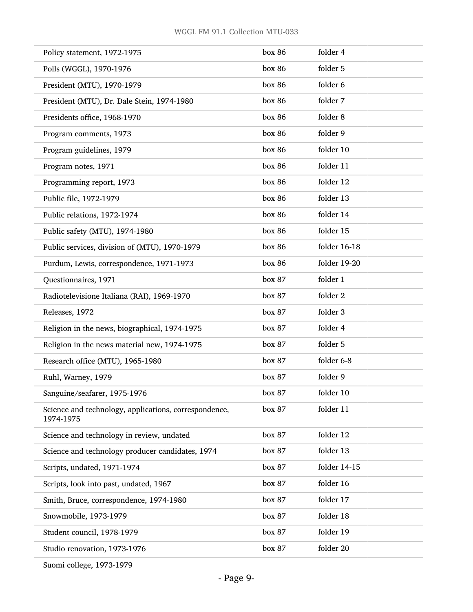| Policy statement, 1972-1975                                        | box 86 | folder 4     |
|--------------------------------------------------------------------|--------|--------------|
| Polls (WGGL), 1970-1976                                            | box 86 | folder 5     |
| President (MTU), 1970-1979                                         | box 86 | folder 6     |
| President (MTU), Dr. Dale Stein, 1974-1980                         | box 86 | folder 7     |
| Presidents office, 1968-1970                                       | box 86 | folder 8     |
| Program comments, 1973                                             | box 86 | folder 9     |
| Program guidelines, 1979                                           | box 86 | folder 10    |
| Program notes, 1971                                                | box 86 | folder 11    |
| Programming report, 1973                                           | box 86 | folder 12    |
| Public file, 1972-1979                                             | box 86 | folder 13    |
| Public relations, 1972-1974                                        | box 86 | folder 14    |
| Public safety (MTU), 1974-1980                                     | box 86 | folder 15    |
| Public services, division of (MTU), 1970-1979                      | box 86 | folder 16-18 |
| Purdum, Lewis, correspondence, 1971-1973                           | box 86 | folder 19-20 |
| Questionnaires, 1971                                               | box 87 | folder 1     |
| Radiotelevisione Italiana (RAI), 1969-1970                         | box 87 | folder 2     |
| Releases, 1972                                                     | box 87 | folder 3     |
| Religion in the news, biographical, 1974-1975                      | box 87 | folder 4     |
| Religion in the news material new, 1974-1975                       | box 87 | folder 5     |
| Research office (MTU), 1965-1980                                   | box 87 | folder 6-8   |
| Ruhl, Warney, 1979                                                 | box 87 | folder 9     |
| Sanguine/seafarer, 1975-1976                                       | box 87 | folder 10    |
| Science and technology, applications, correspondence,<br>1974-1975 | box 87 | folder 11    |
| Science and technology in review, undated                          | box 87 | folder 12    |
| Science and technology producer candidates, 1974                   | box 87 | folder 13    |
| Scripts, undated, 1971-1974                                        | box 87 | folder 14-15 |
| Scripts, look into past, undated, 1967                             | box 87 | folder 16    |
| Smith, Bruce, correspondence, 1974-1980                            | box 87 | folder 17    |
| Snowmobile, 1973-1979                                              | box 87 | folder 18    |
| Student council, 1978-1979                                         | box 87 | folder 19    |
| Studio renovation, 1973-1976                                       | box 87 | folder 20    |
|                                                                    |        |              |

Suomi college, 1973-1979